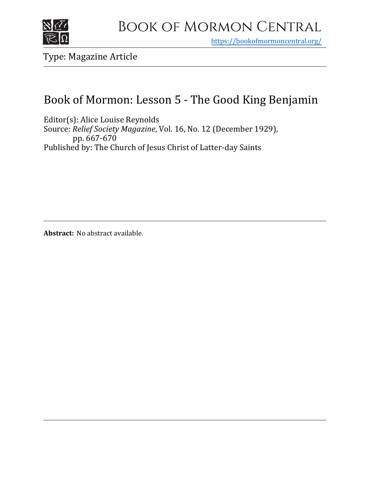

https[://bookofmormoncentral.org/](http://bookofmormoncentral.org/)

Type: Magazine Article

# Book of Mormon: Lesson 5 - The Good King Benjamin

Editor(s): Alice Louise Reynolds Source: *Relief Society Magazine*, Vol. 16, No. 12 (December 1929), pp. 667-670 Published by: The Church of Jesus Christ of Latter-day Saints

**Abstract:** No abstract available.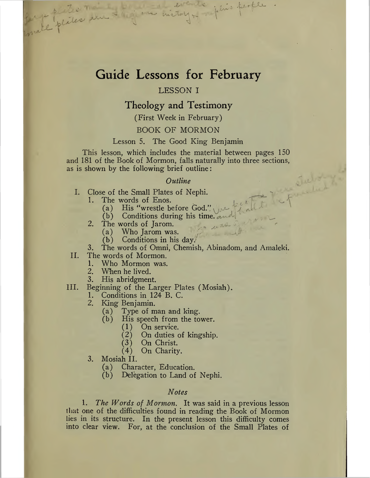## Guide Lessons for February

#### LESSON I

### Theology and Testimony

(First Week in February)

#### BOOK OF MORMON

#### Lesson 5. The Good King Benjamin

This lesson, which includes the material between pages 150 and 181 of the Book of Mormon, falls naturally into three sections, as is shown by the following brief outline:

#### *Outline*

- Close of the Small Plates of Nephi. I.
	- The words of Enos.<br>(a) His "wrestle be 1.
		- (a) His "wrestle before God."  $\bigcup_{\alpha}$ <br>(b) Conditions during his time.
		- Conditions during his time. and
	- 2. The words of Jarom.<br>(a) Who Jarom was
		- (a) Who Jarom was.<br>(b) Conditions in his
		- Conditions in his day.
- 3. The words of Omni, Chemish, Abinadom, and Amaleki.

 $^{\prime\prime}$ 

'tw

#### II. The words of Mormon.<br>1. Who Mormon was.

per l'ester sur l'age

- 1. Who Mormon was.<br>2. When he lived.
- When he lived.
- 3. His abridgment.
- III. Beginning of the Larger Plates (Mosiah).
	- Conditions in 124 B. C. 1.
	- King Benjamin. 2.
		- (a) Type of man and king.
		- His speech from the tower.
			- On service. (1)
			- On duties of kingship.  $(2)$
			- On Christ. (3)
			- On Charity. (4)
	- 3. Mosiah II.<br>(a) Char
		- Character, Education.
		- (b) Delegation to Land of Nephi.

#### *Notes*

1. *The Words of Mormon.* It was said in a previous lesson that one of the difficulties found in reading the Book of Mormon lies in its structure. In the present lesson this difficulty comes into clear view. For, at the conclusion of the Small Plates of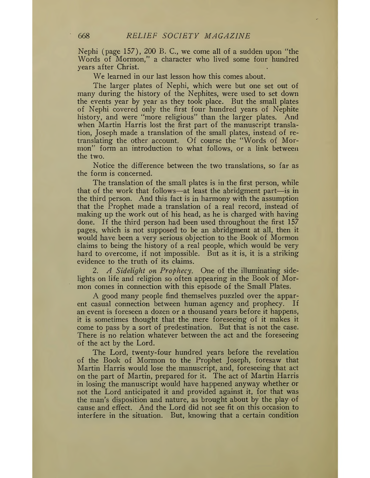Nephi (page 157), 200 B. C., we come all of a sudden upon "the Words of Mormon," a character who lived some four hundred years after Christ.

We learned in our last lesson how this comes about.

The larger plates of Nephi, which were but one set out of many during the history of the Nephites, were used to set down the events year by year as they took place. But the small plates of Nephi covered only the first four hundred years of Nephite history, and were "more religious" than the larger plates. And when Martin Harris lost the first part of the manuscript translation, Joseph made a translation of the small plates, instead of retranslating the other account. Of course the "Words of Mormon" form an introduction to what follows, or a link between the two.

Notice the difference between the two translations, so far as the form is concerned.

The translation of the small plates is in the first person, while that of the work that follows—at least the abridgment part—is in the third person. And this fact is in harmony with the assumption that the Prophet made a translation of a real record, instead of making up the work out of his head, as he is charged with having done. If the third person had been used throughout the first 157 pages, which is not supposed to be an abridgment at all, then it would have been a very serious objection to the Book of Mormon claims to being the history of a real people, which would be very hard to overcome, if not impossible. But as it is, it is a striking evidence to the truth of its claims.

2. *A Sidelight on Prophecy.* One of the illuminating sidelights on life and religion so often appearing in the Book of Mormon comes in connection with this episode of the Small Plates.

A good many people find themselves puzzled over the apparent casual connection between human agency and prophecy. If an event is foreseen a dozen or a thousand years before it happens, it is sometimes thought that the mere foreseeing of it makes it come to pass by a sort of predestination. But that is not the case. There is no relation whatever between the act and the foreseeing of the act by the Lord.

The Lord, twenty-four hundred years before the revelation of the Book of Mormon to the Prophet Joseph, foresaw that Martin Harris would lose the manuscript, and, foreseeing that act on the part of Martin, prepared for it. The act of Martin Harris in losing the manuscript would have happened anyway whether or not the Lord anticipated it and provided against it, for that was the man's disposition and nature, as brought about by the play of cause and effect. And the Lord did not see fit on this occasion to interfere in the situation. But, knowing that a certain condition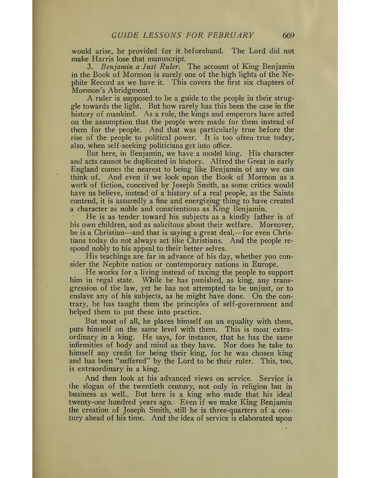would arise, he provided for it beforehand. The Lord did not make Harris lose that manuscript.

3. *Benjamin a Just Ruler.* The account of King Benjamin in the Book of Mormon is surely one of the high lights of the Nephite Record as we have it. This covers the first six chapters of Mormon's Abridgment.

A ruler is supposed to be a guide to the people in their struggle towards the light. But how rarely has this been the case in the history of mankind. As a rule, the kings and emperors have acted on the assumption that the people were made for them instead of them for the people. And that was particularly true before the rise of the people to political power. It is too often true today, also, when self-seeking politicians get into office.

But here, in Benjamin, we have a model king. His character and acts cannot be duplicated in history. Alfred the Great in early England comes the nearest to being like Benjamin of any we can think of. And even if we look upon the Book of Mormon as a work of fiction, conceived by Joseph Smith, as some critics would have us believe, instead of a history of a real people, as the Saints contend, it is assuredly a fine and energizing thing to have created a character as noble and conscientious as King Benjamin.

He is as tender toward his subjects as a kindly father is of his own children, and as solicitous about their welfare. Moreover, he is a Christian—and that is saying a great deal,—for even Christians today do not always act like Christians. And the people respond nobly to his appeal to their better selves.

His teachings are far in advance of his day, whether you consider the Nephite nation or contemporary nations in Europe.

He works for a living instead of taxing the people to support him in regal state. While he has punished, as king, any transgression of the law, yet he has not attempted to be unjust, or to enslave any of his subjects, as he might have done. On the contrary, he has taught them the principles of self-government and helped them to put these into practice.

But most of all, he places himself on an equality with them, puts himself on the same level with them. This is most extraordinary in a king. He says, for instance, that he has the same infirmities of body and mind as they have. Nor does he take to himself any credit for being their king, for he was chosen king and has been "suffered" by the Lord to be their ruler. This, too, is extraordinary in a king.

And then look at his advanced views on service. Service is the slogan of the twentieth century, not only in religion but in business as well.» But here is a king who made that his ideal twenty-one hundred years ago. Even if we make King Benjamin the creation of Joseph Smith, still he is three-quarters of a century ahead of his time. And the idea of service is elaborated upon